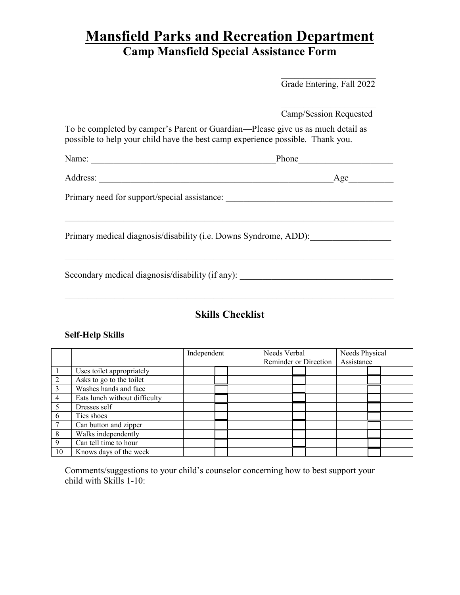# **Mansfield Parks and Recreation Department Camp Mansfield Special Assistance Form**

\_\_\_\_\_\_\_\_\_\_\_\_\_\_\_\_\_\_\_\_\_

|                                                                                                                                                                   | Grade Entering, Fall 2022 |
|-------------------------------------------------------------------------------------------------------------------------------------------------------------------|---------------------------|
|                                                                                                                                                                   | Camp/Session Requested    |
| To be completed by camper's Parent or Guardian—Please give us as much detail as<br>possible to help your child have the best camp experience possible. Thank you. |                           |
|                                                                                                                                                                   | Phone                     |
|                                                                                                                                                                   | Age                       |
| Primary need for support/special assistance: ___________________________________                                                                                  |                           |
| Primary medical diagnosis/disability (i.e. Downs Syndrome, ADD):                                                                                                  |                           |
| Secondary medical diagnosis/disability (if any):                                                                                                                  |                           |

# **Skills Checklist**

## **Self-Help Skills**

|                |                               | Independent |  | Needs Verbal          |  | Needs Physical |  |  |  |
|----------------|-------------------------------|-------------|--|-----------------------|--|----------------|--|--|--|
|                |                               |             |  | Reminder or Direction |  | Assistance     |  |  |  |
|                | Uses toilet appropriately     |             |  |                       |  |                |  |  |  |
| $\overline{2}$ | Asks to go to the toilet      |             |  |                       |  |                |  |  |  |
| 3              | Washes hands and face         |             |  |                       |  |                |  |  |  |
| 4              | Eats lunch without difficulty |             |  |                       |  |                |  |  |  |
|                | Dresses self                  |             |  |                       |  |                |  |  |  |
| 6              | Ties shoes                    |             |  |                       |  |                |  |  |  |
|                | Can button and zipper         |             |  |                       |  |                |  |  |  |
| 8              | Walks independently           |             |  |                       |  |                |  |  |  |
| 9              | Can tell time to hour         |             |  |                       |  |                |  |  |  |
| 10             | Knows days of the week        |             |  |                       |  |                |  |  |  |

Comments/suggestions to your child's counselor concerning how to best support your child with Skills 1-10: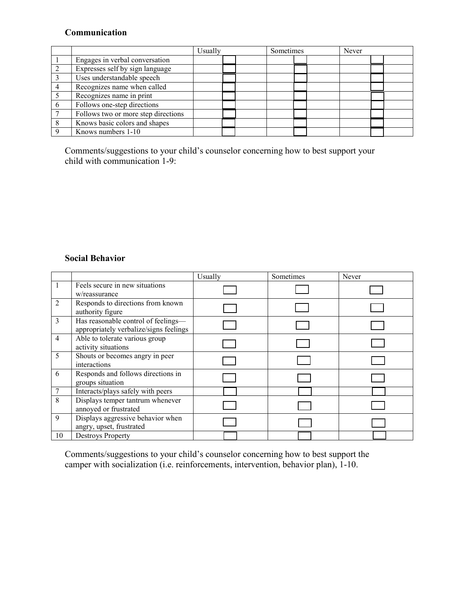# **Communication**

|                                     | Usually |  | Sometimes |  | Never |  |  |
|-------------------------------------|---------|--|-----------|--|-------|--|--|
| Engages in verbal conversation      |         |  |           |  |       |  |  |
| Expresses self by sign language     |         |  |           |  |       |  |  |
| Uses understandable speech          |         |  |           |  |       |  |  |
| Recognizes name when called         |         |  |           |  |       |  |  |
| Recognizes name in print            |         |  |           |  |       |  |  |
| Follows one-step directions         |         |  |           |  |       |  |  |
| Follows two or more step directions |         |  |           |  |       |  |  |
| Knows basic colors and shapes       |         |  |           |  |       |  |  |
| Knows numbers 1-10                  |         |  |           |  |       |  |  |

Comments/suggestions to your child's counselor concerning how to best support your child with communication 1-9:

### **Social Behavior**

|                |                                                                               | Usually | Sometimes | Never |
|----------------|-------------------------------------------------------------------------------|---------|-----------|-------|
|                | Feels secure in new situations<br>w/reassurance                               |         |           |       |
| $\overline{2}$ | Responds to directions from known<br>authority figure                         |         |           |       |
| 3              | Has reasonable control of feelings-<br>appropriately verbalize/signs feelings |         |           |       |
| $\overline{4}$ | Able to tolerate various group<br>activity situations                         |         |           |       |
| 5              | Shouts or becomes angry in peer<br>interactions                               |         |           |       |
| 6              | Responds and follows directions in<br>groups situation                        |         |           |       |
|                | Interacts/plays safely with peers                                             |         |           |       |
| 8              | Displays temper tantrum whenever<br>annoyed or frustrated                     |         |           |       |
| 9              | Displays aggressive behavior when<br>angry, upset, frustrated                 |         |           |       |
| 10             | <b>Destroys Property</b>                                                      |         |           |       |

Comments/suggestions to your child's counselor concerning how to best support the camper with socialization (i.e. reinforcements, intervention, behavior plan), 1-10.